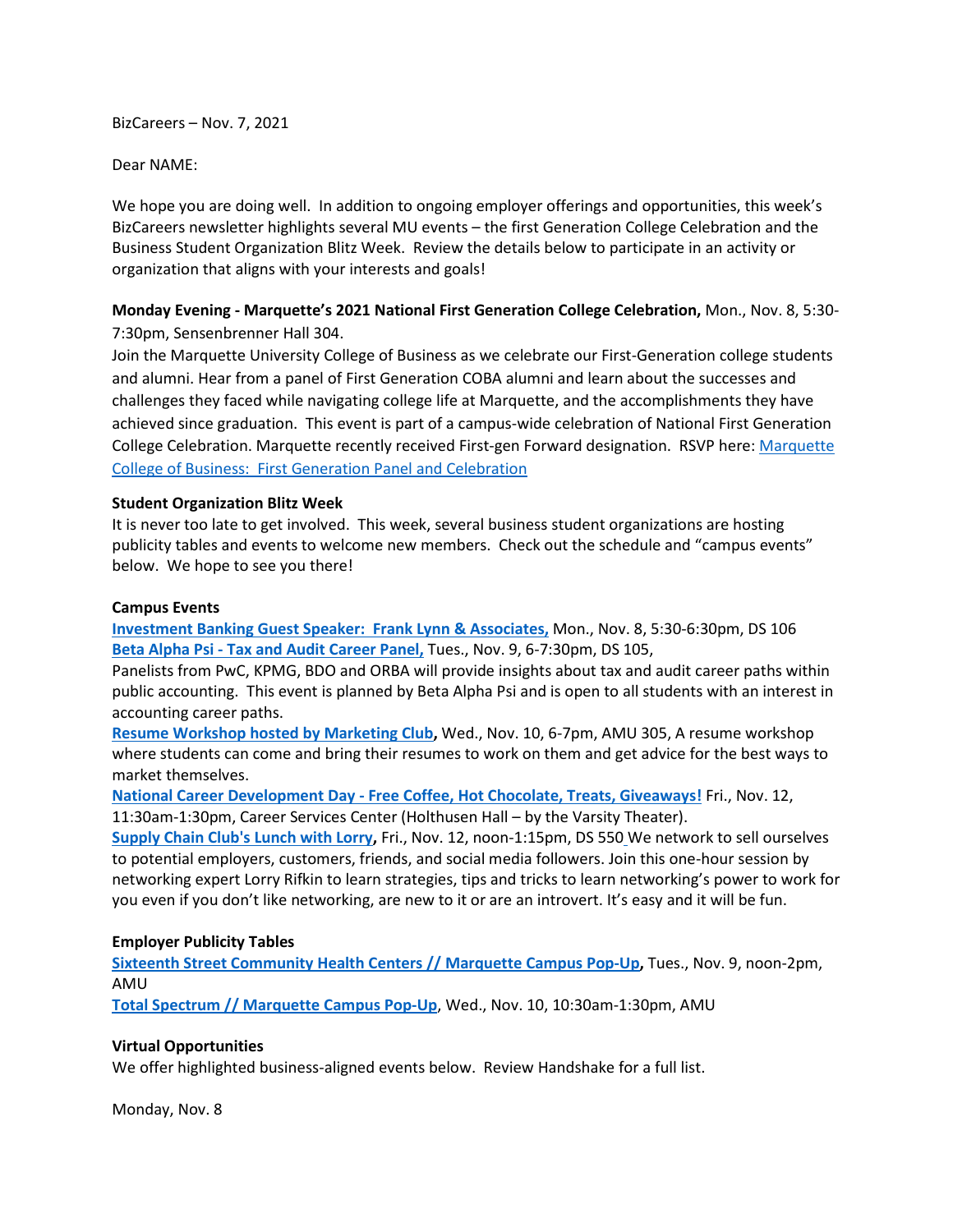BizCareers – Nov. 7, 2021

Dear NAME:

We hope you are doing well. In addition to ongoing employer offerings and opportunities, this week's BizCareers newsletter highlights several MU events – the first Generation College Celebration and the Business Student Organization Blitz Week. Review the details below to participate in an activity or organization that aligns with your interests and goals!

# **Monday Evening - Marquette's 2021 National First Generation College Celebration,** Mon., Nov. 8, 5:30- 7:30pm, Sensenbrenner Hall 304.

Join the Marquette University College of Business as we celebrate our First-Generation college students and alumni. Hear from a panel of First Generation COBA alumni and learn about the successes and challenges they faced while navigating college life at Marquette, and the accomplishments they have achieved since graduation. This event is part of a campus-wide celebration of National First Generation College Celebration. Marquette recently received First-gen Forward designation. RSVP here: [Marquette](https://nam02.safelinks.protection.outlook.com/?url=https%3A%2F%2Fwww.eventbrite.com%2Fe%2Fmu-college-of-business-first-generation-panel-tickets-193736008617&data=04%7C01%7Ckaren.rinehart%40marquette.edu%7C53d0cc95dd2548c49f0b08d99a3b9312%7Cabe32f68c72d420db5bd750c63a268e4%7C0%7C0%7C637710402949148270%7CUnknown%7CTWFpbGZsb3d8eyJWIjoiMC4wLjAwMDAiLCJQIjoiV2luMzIiLCJBTiI6Ik1haWwiLCJXVCI6Mn0%3D%7C1000&sdata=PmW8gz9QHDFkH8iW%2BCXATtb%2F9nuMq2WClUnYqbSphdU%3D&reserved=0)  College of Business: [First Generation Panel and Celebration](https://nam02.safelinks.protection.outlook.com/?url=https%3A%2F%2Fwww.eventbrite.com%2Fe%2Fmu-college-of-business-first-generation-panel-tickets-193736008617&data=04%7C01%7Ckaren.rinehart%40marquette.edu%7C53d0cc95dd2548c49f0b08d99a3b9312%7Cabe32f68c72d420db5bd750c63a268e4%7C0%7C0%7C637710402949148270%7CUnknown%7CTWFpbGZsb3d8eyJWIjoiMC4wLjAwMDAiLCJQIjoiV2luMzIiLCJBTiI6Ik1haWwiLCJXVCI6Mn0%3D%7C1000&sdata=PmW8gz9QHDFkH8iW%2BCXATtb%2F9nuMq2WClUnYqbSphdU%3D&reserved=0)

## **Student Organization Blitz Week**

It is never too late to get involved. This week, several business student organizations are hosting publicity tables and events to welcome new members. Check out the schedule and "campus events" below. We hope to see you there!

#### **Campus Events**

**[Investment Banking Guest Speaker: Frank Lynn & Associates,](https://marquette.joinhandshake.com/events/818829/share_preview)** Mon., Nov. 8, 5:30-6:30pm, DS 106 **Beta Alpha Psi - [Tax and Audit Career Panel,](https://marquette.joinhandshake.com/events/870562/share_preview)** Tues., Nov. 9, 6-7:30pm, DS 105,

Panelists from PwC, KPMG, BDO and ORBA will provide insights about tax and audit career paths within public accounting. This event is planned by Beta Alpha Psi and is open to all students with an interest in accounting career paths.

**[Resume Workshop hosted by Marketing Club,](https://marquette.joinhandshake.com/events/892890/share_preview)** Wed., Nov. 10, 6-7pm, AMU 305, A resume workshop where students can come and bring their resumes to work on them and get advice for the best ways to market themselves.

**National Career Development Day - [Free Coffee, Hot Chocolate, Treats, Giveaways!](https://marquette.joinhandshake.com/events/895356/share_preview)** Fri., Nov. 12, 11:30am-1:30pm, Career Services Center (Holthusen Hall – by the Varsity Theater).

**Supply Chain [Club's Lunch with Lorry,](https://marquette.joinhandshake.com/events/894512/share_preview)** Fri., Nov. 12, noon-1:15pm, DS 550 We network to sell ourselves to potential employers, customers, friends, and social media followers. Join this one-hour session by networking expert Lorry Rifkin to learn strategies, tips and tricks to learn networking's power to work for you even if you don't like networking, are new to it or are an introvert. It's easy and it will be fun.

## **Employer Publicity Tables**

**[Sixteenth Street Community Health Centers // Marquette Campus Pop-Up,](https://marquette.joinhandshake.com/events/889191/share_preview)** Tues., Nov. 9, noon-2pm, AMU

**[Total Spectrum // Marquette Campus Pop-Up](https://marquette.joinhandshake.com/events/881289/share_preview)**, Wed., Nov. 10, 10:30am-1:30pm, AMU

## **Virtual Opportunities**

We offer highlighted business-aligned events below. Review Handshake for a full list.

Monday, Nov. 8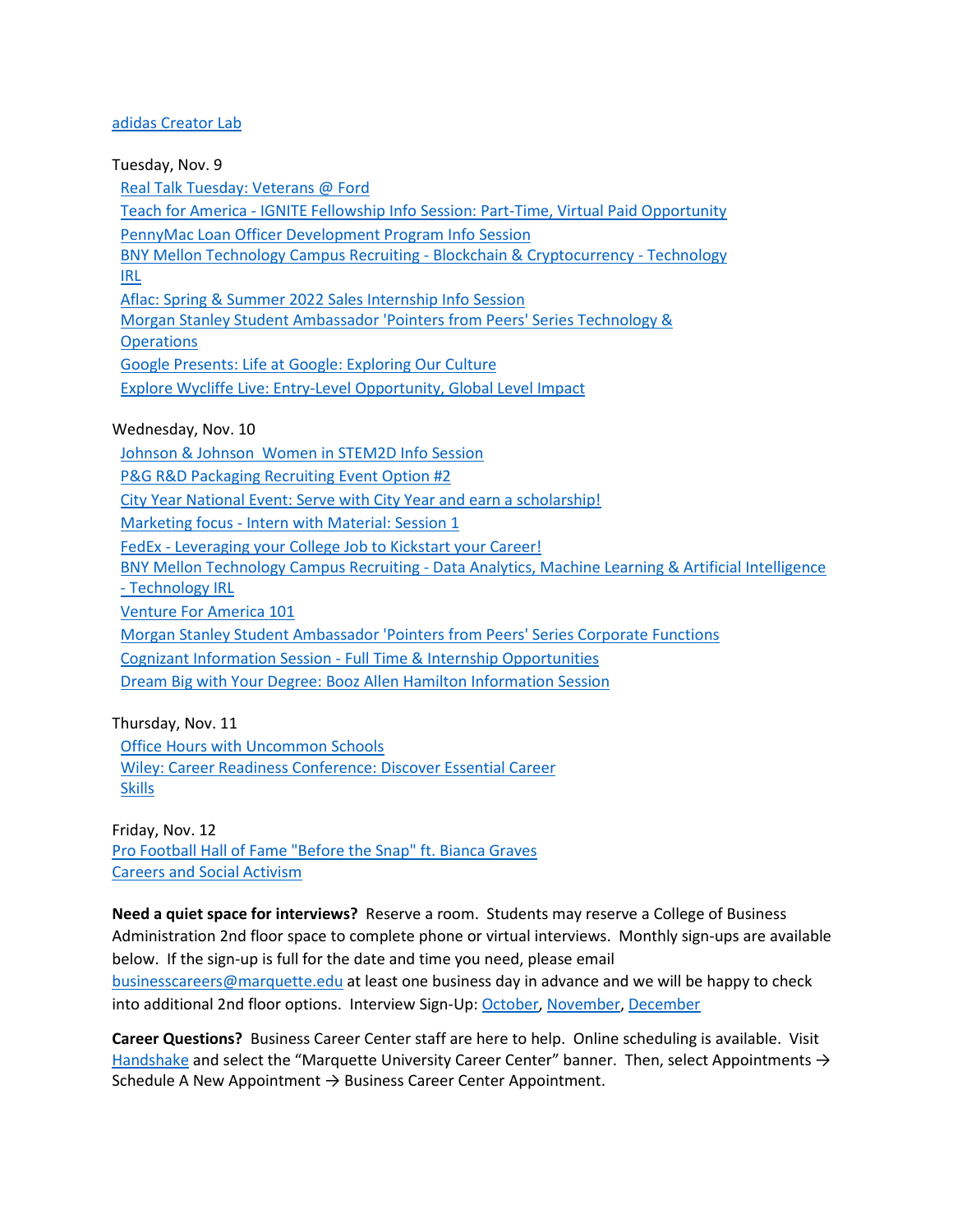#### [adidas Creator Lab](https://marquette.joinhandshake.com/events/898431/share_preview)

Tuesday, Nov. 9

[Real Talk Tuesday: Veterans @ Ford](https://marquette.joinhandshake.com/events/890968/share_preview)

Teach for America - [IGNITE Fellowship Info Session: Part-Time, Virtual Paid Opportunity](https://marquette.joinhandshake.com/events/890827/share_preview)

[PennyMac Loan Officer Development Program Info Session](https://marquette.joinhandshake.com/events/887305/share_preview)

[BNY Mellon Technology Campus Recruiting -](https://marquette.joinhandshake.com/events/885729/share_preview) Blockchain & Cryptocurrency - Technology [IRL](https://marquette.joinhandshake.com/events/885729/share_preview)

[Aflac: Spring & Summer 2022 Sales Internship Info Session](https://marquette.joinhandshake.com/events/877803/share_preview)

[Morgan Stanley Student Ambassador 'Pointers from Peers' Series Technology &](https://marquette.joinhandshake.com/events/876681/share_preview) 

**[Operations](https://marquette.joinhandshake.com/events/876681/share_preview)** 

[Google Presents: Life at Google: Exploring Our Culture](https://marquette.joinhandshake.com/events/874019/share_preview)

[Explore Wycliffe Live: Entry-Level Opportunity, Global Level Impact](https://marquette.joinhandshake.com/events/856755/share_preview)

## Wednesday, Nov. 10

[Johnson & Johnson Women in STEM2D Info Session](https://marquette.joinhandshake.com/events/896001/share_preview)

[P&G R&D Packaging Recruiting Event Option #2](https://marquette.joinhandshake.com/events/892939/share_preview)

[City Year National Event: Serve with City Year and earn a scholarship!](https://marquette.joinhandshake.com/events/892901/share_preview)

Marketing focus - [Intern with Material: Session 1](https://marquette.joinhandshake.com/events/891950/share_preview) 

FedEx - Leveraging [your College Job to Kickstart your Career!](https://marquette.joinhandshake.com/events/887635/share_preview)

BNY Mellon Technology Campus Recruiting - [Data Analytics, Machine Learning & Artificial Intelligence](https://marquette.joinhandshake.com/events/885738/share_preview) 

- [Technology IRL](https://marquette.joinhandshake.com/events/885738/share_preview)

[Venture For America 101](https://marquette.joinhandshake.com/events/884336/share_preview)

[Morgan Stanley Student Ambassador 'Pointers from Peers' Series Corporate Functions](https://marquette.joinhandshake.com/events/876689/share_preview) 

Cognizant Information Session - [Full Time & Internship Opportunities](https://marquette.joinhandshake.com/events/874274/share_preview)

[Dream Big with Your Degree: Booz Allen Hamilton Information Session](https://marquette.joinhandshake.com/events/843862/share_preview)

Thursday, Nov. 11 [Office Hours with Uncommon Schools](https://marquette.joinhandshake.com/events/897983/share_preview) [Wiley: Career Readiness Conference: Discover Essential Career](https://marquette.joinhandshake.com/events/866265/share_preview)  [Skills](https://marquette.joinhandshake.com/events/866265/share_preview)

Friday, Nov. 12 [Pro Football Hall of Fame "Before the Snap" ft. Bianca Graves](https://marquette.joinhandshake.com/events/888580/share_preview) [Careers and Social Activism](https://marquette.joinhandshake.com/events/754637/share_preview)

**Need a quiet space for interviews?** Reserve a room. Students may reserve a College of Business Administration 2nd floor space to complete phone or virtual interviews. Monthly sign-ups are available below. If the sign-up is full for the date and time you need, please email [businesscareers@marquette.edu](mailto:businesscareers@marquette.edu) at least one business day in advance and we will be happy to check into additional 2nd floor options. Interview Sign-Up[: October,](https://www.signupgenius.com/go/10c044fada92ba5f85-room1) [November,](https://www.signupgenius.com/go/10C044FADA92BA5F85-room2) [December](https://www.signupgenius.com/go/10C044FADA92BA5F85-december)

**Career Questions?** Business Career Center staff are here to help. Online scheduling is available. Visit [Handshake](https://marquette.joinhandshake.com/) and select the "Marquette University Career Center" banner. Then, select Appointments  $\rightarrow$ Schedule A New Appointment  $\rightarrow$  Business Career Center Appointment.